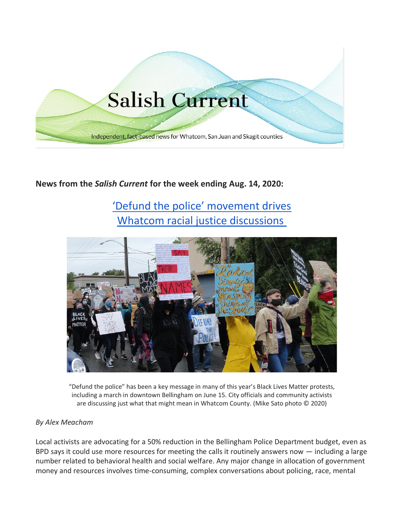

# **News from the** *Salish Current* **for the week ending Aug. 14, 2020:**

# ['Defund the police' movement drives](https://salish-current.org/2020/08/14/defund-the-police-movement-drives-whatcom-racial-justice-discussions/) [Whatcom racial justice discussions](https://salish-current.org/2020/08/14/defund-the-police-movement-drives-whatcom-racial-justice-discussions/)



"Defund the police" has been a key message in many of this year's Black Lives Matter protests, including a march in downtown Bellingham on June 15. City officials and community activists are discussing just what that might mean in Whatcom County. (Mike Sato photo © 2020)

#### *By Alex Meacham*

Local activists are advocating for a 50% reduction in the Bellingham Police Department budget, even as BPD says it could use more resources for meeting the calls it routinely answers now — including a large number related to behavioral health and social welfare. Any major change in allocation of government money and resources involves time-consuming, complex conversations about policing, race, mental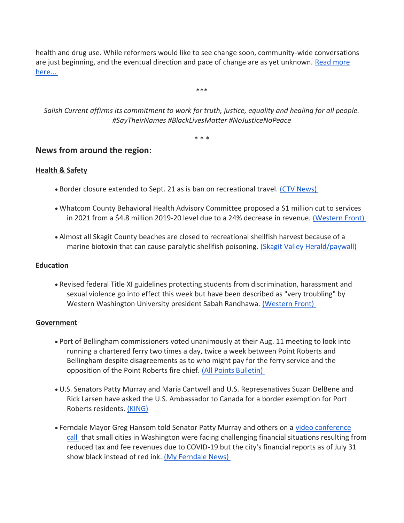health and drug use. While reformers would like to see change soon, community-wide conversations are just beginning, and the eventual direction and pace of change are as yet unknown. [Read more](https://salish-current.org/2020/08/14/defund-the-police-movement-drives-whatcom-racial-justice-discussions/)  [here...](https://salish-current.org/2020/08/14/defund-the-police-movement-drives-whatcom-racial-justice-discussions/)

\*\*\*

*Salish Current affirms its commitment to work for truth, justice, equality and healing for all people. #SayTheirNames #BlackLivesMatter #NoJusticeNoPeace*

\* \* \*

# **News from around the region:**

#### **Health & Safety**

- Border closure extended to Sept. 21 as is ban on recreational travel. [\(CTV News\)](https://www.ctvnews.ca/politics/canada-u-s-border-closure-extended-again-amid-tension-over-restrictions-1.5064424)
- Whatcom County Behavioral Health Advisory Committee proposed a \$1 million cut to services in 2021 from a \$4.8 million 2019-20 level due to a 24% decrease in revenue. [\(Western Front\)](https://www.westernfrontonline.com/2020/08/10/1-million-budget-cut-for-behavioral-health-services-proposed/)
- Almost all Skagit County beaches are closed to recreational shellfish harvest because of a marine biotoxin that can cause paralytic shellfish poisoning. [\(Skagit Valley Herald/paywall\)](https://www.goskagit.com/skagit/biotoxin-closes-most-local-shellfish-harvest/article_fefc3397-7d28-5f89-9453-1804af870585.html)

#### **Education**

• Revised federal Title XI guidelines protecting students from discrimination, harassment and sexual violence go into effect this week but have been described as "very troubling" by Western Washington University president Sabah Randhawa. [\(Western Front\)](https://www.westernfrontonline.com/2020/08/12/title-ix-federal-regulations-go-into-effect-on-aug-14/)

#### **Government**

- Port of Bellingham commissioners voted unanimously at their Aug. 11 meeting to look into running a chartered ferry two times a day, twice a week between Point Roberts and Bellingham despite disagreements as to who might pay for the ferry service and the opposition of the Point Roberts fire chief. [\(All Points Bulletin\)](https://www.allpointbulletin.com/stories/port-of-bellingham-vote-unanimously-to-look-into-point-roberts-ferry,11225)
- U.S. Senators Patty Murray and Maria Cantwell and U.S. Represenatives Suzan DelBene and Rick Larsen have asked the U.S. Ambassador to Canada for a border exemption for Port Roberts residents. [\(KING\)](https://www.king5.com/article/news/local/top-washington-lawmakers-ask-for-border-exemption-between-canada-and-small-whatcom-county-town-point-roberts/281-34093c4d-ca11-46e8-a960-57a286e283f8)
- Ferndale Mayor Greg Hansom told Senator Patty Murray and others on a video conference [call](https://www.bellinghamherald.com/news/local/article244876162.html) that small cities in Washington were facing challenging financial situations resulting from reduced tax and fee revenues due to COVID-19 but the city's financial reports as of July 31 show black instead of red ink. [\(My Ferndale News\)](https://myferndalenews.com/are-city-of-ferndale-finances-as-bad-as-the-mayor-says_106080/)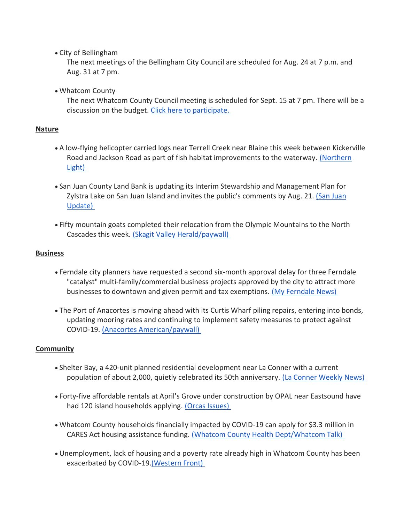• City of Bellingham

The next meetings of the Bellingham City Council are scheduled for Aug. 24 at 7 p.m. and Aug. 31 at 7 pm.

• Whatcom County

The next Whatcom County Council meeting is scheduled for Sept. 15 at 7 pm. There will be a discussion on the budget. [Click here to participate.](http://www.whatcomcounty.us/3415/Participate-in-Virtual-Council-Meetings)

## **Nature**

- A low-flying helicopter carried logs near Terrell Creek near Blaine this week between Kickerville Road and Jackson Road as part of fish habitat improvements to the waterway. [\(Northern](https://www.thenorthernlight.com/stories/helicopter-placing-200-logs-at-terrell-creek-this-week,11190?)  [Light\)](https://www.thenorthernlight.com/stories/helicopter-placing-200-logs-at-terrell-creek-this-week,11190?)
- San Juan County Land Bank is updating its Interim Stewardship and Management Plan for Zylstra Lake on San Juan Island and invites the public's comments by Aug. 21. (San Juan [Update\)](https://sanjuanupdate.com/2020/08/zylstra-lake-preserve-open-for-public-comment/)
- Fifty mountain goats completed their relocation from the Olympic Mountains to the North Cascades this week. [\(Skagit Valley Herald/paywall\)](https://www.goskagit.com/news/mountain-goat-relocations-complete/article_dd88f3ca-43d9-5060-b451-2aeb85607ae7.html)

#### **Business**

- Ferndale city planners have requested a second six-month approval delay for three Ferndale "catalyst" multi-family/commercial business projects approved by the city to attract more businesses to downtown and given permit and tax exemptions. [\(My Ferndale News\)](https://myferndalenews.com/downtown-ferndale-catalyst-program-developers-seek-2nd-deadline-extension_106053/)
- The Port of Anacortes is moving ahead with its Curtis Wharf piling repairs, entering into bonds, updating mooring rates and continuing to implement safety measures to protect against COVID-19. [\(Anacortes American/paywall\)](https://www.goskagit.com/anacortes/news/port-moving-ahead-with-repairs-at-wharf/article_fb6e93da-dc0e-11ea-abca-1b4dbe0517e1.html)

## **Community**

- Shelter Bay, a 420-unit planned residential development near La Conner with a current population of about 2,000, quietly celebrated its 50th anniversary. [\(La Conner Weekly News\)](https://laconnerweeklynews.com/Content/News/News/Article/Shelter-Bay-slips-quietly-past-50-year-anniversary/2/27/3300)
- Forty-five affordable rentals at April's Grove under construction by OPAL near Eastsound have had 120 island households applying. [\(Orcas Issues\)](https://orcasissues.com/aprils-grove-is-leasing-up/)
- Whatcom County households financially impacted by COVID-19 can apply for \$3.3 million in CARES Act housing assistance funding. [\(Whatcom County Health Dept/Whatcom Talk\)](https://www.whatcomtalk.com/2020/08/05/new-funding-to-support-rent-and-mortgage-payments-now-available-in-whatcom-county/)
- Unemployment, lack of housing and a poverty rate already high in Whatcom County has been exacerbated by COVID-19[.\(Western Front\)](https://www.westernfrontonline.com/2020/08/13/bellingham-poverty-rate-predicted-to-rise/)